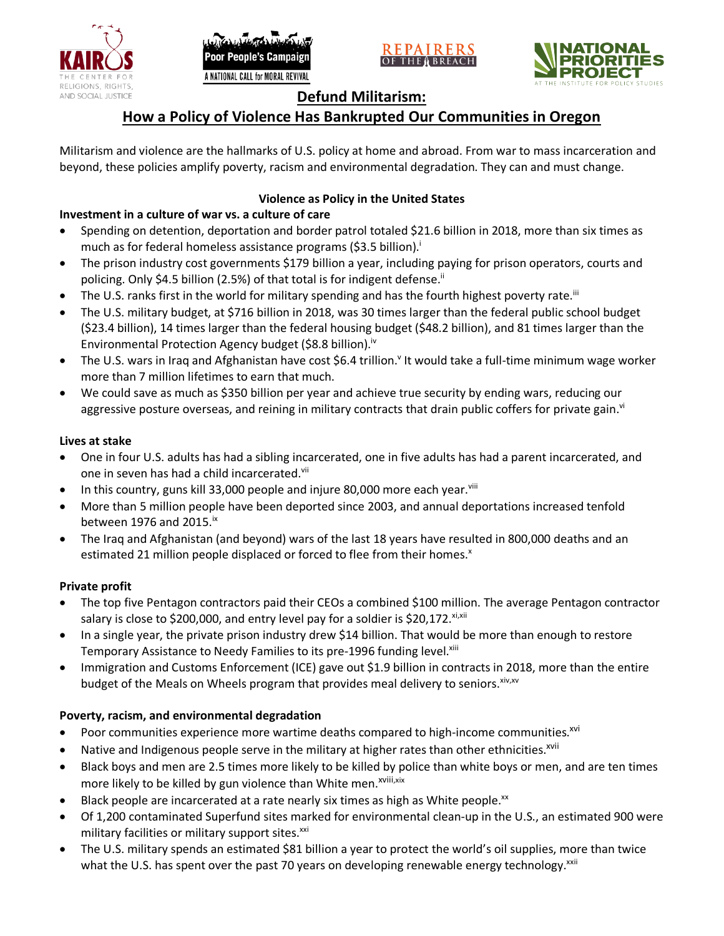





# **Defund Militarism:**

# **How a Policy of Violence Has Bankrupted Our Communities in Oregon**

Militarism and violence are the hallmarks of U.S. policy at home and abroad. From war to mass incarceration and beyond, these policies amplify poverty, racism and environmental degradation. They can and must change.

# **Violence as Policy in the United States**

### **Investment in a culture of war vs. a culture of care**

- Spending on detention, deportation and border patrol totaled \$21.6 billion in 2018, more than six times as much as for federal homeless assistance programs (\$3.5 billion).<sup>i</sup>
- The prison industry cost governments \$179 billion a year, including paying for prison operators, courts and policing. Only \$4.5 billion (2.5%) of that total is for indigent defense.<sup>ii</sup>
- The U.S. ranks first in the world for military spending and has the fourth highest poverty rate.<sup>iii</sup>
- The U.S. military budget, at \$716 billion in 2018, was 30 times larger than the federal public school budget (\$23.4 billion), 14 times larger than the federal housing budget (\$48.2 billion), and 81 times larger than the Environmental Protection Agency budget (\$8.8 billion).<sup>iv</sup>
- The U.S. wars in Iraq and Afghanistan have cost \$6.4 trillion.<sup>v</sup> It would take a full-time minimum wage worker more than 7 million lifetimes to earn that much.
- We could save as much as \$350 billion per year and achieve true security by ending wars, reducing our aggressive posture overseas, and reining in military contracts that drain public coffers for private gain.<sup>vi</sup>

### **Lives at stake**

- One in four U.S. adults has had a sibling incarcerated, one in five adults has had a parent incarcerated, and one in seven has had a child incarcerated.vii
- In this country, guns kill 33,000 people and injure 80,000 more each year. $v_{\text{lin}}$
- More than 5 million people have been deported since 2003, and annual deportations increased tenfold between 1976 and 2015. $\mathrm{i}$ <sup>x</sup>
- The Iraq and Afghanistan (and beyond) wars of the last 18 years have resulted in 800,000 deaths and an estimated 21 million people displaced or forced to flee from their homes.<sup>x</sup>

#### **Private profit**

- The top five Pentagon contractors paid their CEOs a combined \$100 million. The average Pentagon contractor salary is close to \$200,000, and entry level pay for a soldier is \$20,172. xi,xii
- In a single year, the private prison industry drew \$14 billion. That would be more than enough to restore Temporary Assistance to Needy Families to its pre-1996 funding level.<sup>xiii</sup>
- Immigration and Customs Enforcement (ICE) gave out \$1.9 billion in contracts in 2018, more than the entire budget of the Meals on Wheels program that provides meal delivery to seniors. Xiv, XV

# **Poverty, racism, and environmental degradation**

- Poor communities experience more wartime deaths compared to high-income communities.<sup>xvi</sup>
- Native and Indigenous people serve in the military at higher rates than other ethnicities.<sup>xvii</sup>
- Black boys and men are 2.5 times more likely to be killed by police than white boys or men, and are ten times more likely to be killed by gun violence than White men.<sup>xviii,xix</sup>
- Black people are incarcerated at a rate nearly six times as high as White people.<sup>xx</sup>
- Of 1,200 contaminated Superfund sites marked for environmental clean-up in the U.S., an estimated 900 were military facilities or military support sites.<sup>xxi</sup>
- The U.S. military spends an estimated \$81 billion a year to protect the world's oil supplies, more than twice what the U.S. has spent over the past 70 years on developing renewable energy technology.<sup>xxii</sup>